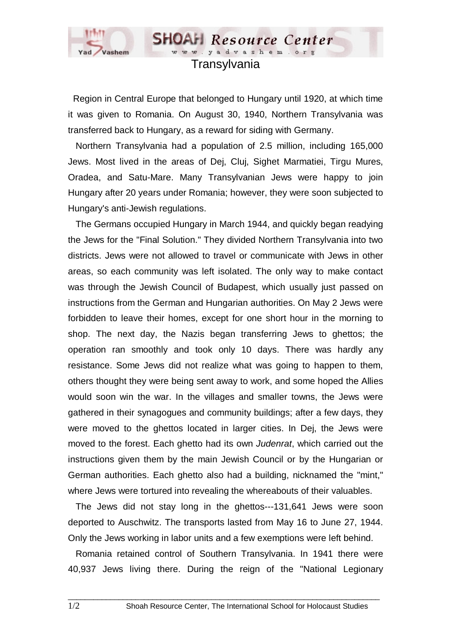

## www.yadvashem.o Transylvania

**SHOAH** Resource Center

 Region in Central Europe that belonged to Hungary until 1920, at which time it was given to Romania. On August 30, 1940, Northern Transylvania was transferred back to Hungary, as a reward for siding with Germany.

 Northern Transylvania had a population of 2.5 million, including 165,000 Jews. Most lived in the areas of Dej, Cluj, Sighet Marmatiei, Tirgu Mures, Oradea, and Satu-Mare. Many Transylvanian Jews were happy to join Hungary after 20 years under Romania; however, they were soon subjected to Hungary's anti-Jewish regulations.

 The Germans occupied Hungary in March 1944, and quickly began readying the Jews for the "Final Solution." They divided Northern Transylvania into two districts. Jews were not allowed to travel or communicate with Jews in other areas, so each community was left isolated. The only way to make contact was through the Jewish Council of Budapest, which usually just passed on instructions from the German and Hungarian authorities. On May 2 Jews were forbidden to leave their homes, except for one short hour in the morning to shop. The next day, the Nazis began transferring Jews to ghettos; the operation ran smoothly and took only 10 days. There was hardly any resistance. Some Jews did not realize what was going to happen to them, others thought they were being sent away to work, and some hoped the Allies would soon win the war. In the villages and smaller towns, the Jews were gathered in their synagogues and community buildings; after a few days, they were moved to the ghettos located in larger cities. In Dej, the Jews were moved to the forest. Each ghetto had its own *Judenrat*, which carried out the instructions given them by the main Jewish Council or by the Hungarian or German authorities. Each ghetto also had a building, nicknamed the "mint," where Jews were tortured into revealing the whereabouts of their valuables.

 The Jews did not stay long in the ghettos---131,641 Jews were soon deported to Auschwitz. The transports lasted from May 16 to June 27, 1944. Only the Jews working in labor units and a few exemptions were left behind.

 Romania retained control of Southern Transylvania. In 1941 there were 40,937 Jews living there. During the reign of the "National Legionary

 $\_$  ,  $\_$  ,  $\_$  ,  $\_$  ,  $\_$  ,  $\_$  ,  $\_$  ,  $\_$  ,  $\_$  ,  $\_$  ,  $\_$  ,  $\_$  ,  $\_$  ,  $\_$  ,  $\_$  ,  $\_$  ,  $\_$  ,  $\_$  ,  $\_$